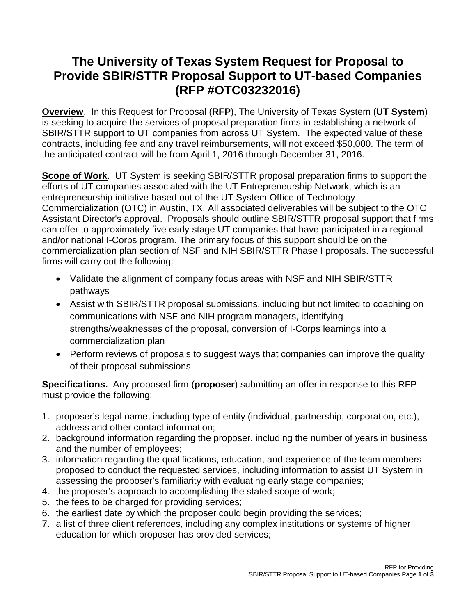## **The University of Texas System Request for Proposal to Provide SBIR/STTR Proposal Support to UT-based Companies (RFP #OTC03232016)**

**Overview**. In this Request for Proposal (**RFP**), The University of Texas System (**UT System**) is seeking to acquire the services of proposal preparation firms in establishing a network of SBIR/STTR support to UT companies from across UT System. The expected value of these contracts, including fee and any travel reimbursements, will not exceed \$50,000. The term of the anticipated contract will be from April 1, 2016 through December 31, 2016.

**Scope of Work**. UT System is seeking SBIR/STTR proposal preparation firms to support the efforts of UT companies associated with the UT Entrepreneurship Network, which is an entrepreneurship initiative based out of the UT System Office of Technology Commercialization (OTC) in Austin, TX. All associated deliverables will be subject to the OTC Assistant Director's approval. Proposals should outline SBIR/STTR proposal support that firms can offer to approximately five early-stage UT companies that have participated in a regional and/or national I-Corps program. The primary focus of this support should be on the commercialization plan section of NSF and NIH SBIR/STTR Phase I proposals. The successful firms will carry out the following:

- Validate the alignment of company focus areas with NSF and NIH SBIR/STTR pathways
- Assist with SBIR/STTR proposal submissions, including but not limited to coaching on communications with NSF and NIH program managers, identifying strengths/weaknesses of the proposal, conversion of I-Corps learnings into a commercialization plan
- Perform reviews of proposals to suggest ways that companies can improve the quality of their proposal submissions

**Specifications.** Any proposed firm (**proposer**) submitting an offer in response to this RFP must provide the following:

- 1. proposer's legal name, including type of entity (individual, partnership, corporation, etc.), address and other contact information;
- 2. background information regarding the proposer, including the number of years in business and the number of employees;
- 3. information regarding the qualifications, education, and experience of the team members proposed to conduct the requested services, including information to assist UT System in assessing the proposer's familiarity with evaluating early stage companies;
- 4. the proposer's approach to accomplishing the stated scope of work;
- 5. the fees to be charged for providing services;
- 6. the earliest date by which the proposer could begin providing the services;
- 7. a list of three client references, including any complex institutions or systems of higher education for which proposer has provided services;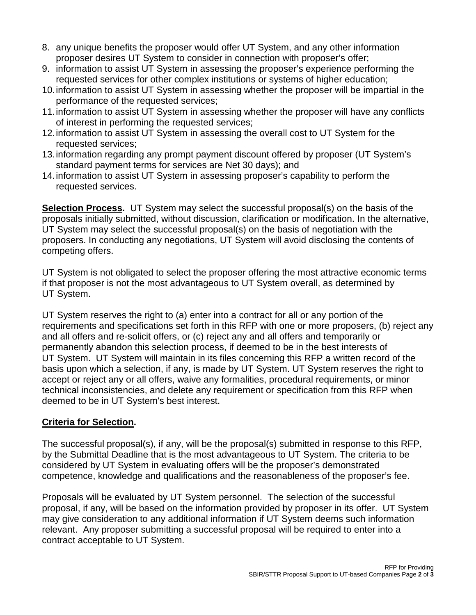- 8. any unique benefits the proposer would offer UT System, and any other information proposer desires UT System to consider in connection with proposer's offer;
- 9. information to assist UT System in assessing the proposer's experience performing the requested services for other complex institutions or systems of higher education;
- 10.information to assist UT System in assessing whether the proposer will be impartial in the performance of the requested services;
- 11.information to assist UT System in assessing whether the proposer will have any conflicts of interest in performing the requested services;
- 12.information to assist UT System in assessing the overall cost to UT System for the requested services;
- 13.information regarding any prompt payment discount offered by proposer (UT System's standard payment terms for services are Net 30 days); and
- 14.information to assist UT System in assessing proposer's capability to perform the requested services.

**Selection Process.** UT System may select the successful proposal(s) on the basis of the proposals initially submitted, without discussion, clarification or modification. In the alternative, UT System may select the successful proposal(s) on the basis of negotiation with the proposers. In conducting any negotiations, UT System will avoid disclosing the contents of competing offers.

UT System is not obligated to select the proposer offering the most attractive economic terms if that proposer is not the most advantageous to UT System overall, as determined by UT System.

UT System reserves the right to (a) enter into a contract for all or any portion of the requirements and specifications set forth in this RFP with one or more proposers, (b) reject any and all offers and re-solicit offers, or (c) reject any and all offers and temporarily or permanently abandon this selection process, if deemed to be in the best interests of UT System. UT System will maintain in its files concerning this RFP a written record of the basis upon which a selection, if any, is made by UT System. UT System reserves the right to accept or reject any or all offers, waive any formalities, procedural requirements, or minor technical inconsistencies, and delete any requirement or specification from this RFP when deemed to be in UT System's best interest.

## **Criteria for Selection.**

The successful proposal(s), if any, will be the proposal(s) submitted in response to this RFP, by the Submittal Deadline that is the most advantageous to UT System. The criteria to be considered by UT System in evaluating offers will be the proposer's demonstrated competence, knowledge and qualifications and the reasonableness of the proposer's fee.

Proposals will be evaluated by UT System personnel. The selection of the successful proposal, if any, will be based on the information provided by proposer in its offer. UT System may give consideration to any additional information if UT System deems such information relevant. Any proposer submitting a successful proposal will be required to enter into a contract acceptable to UT System.